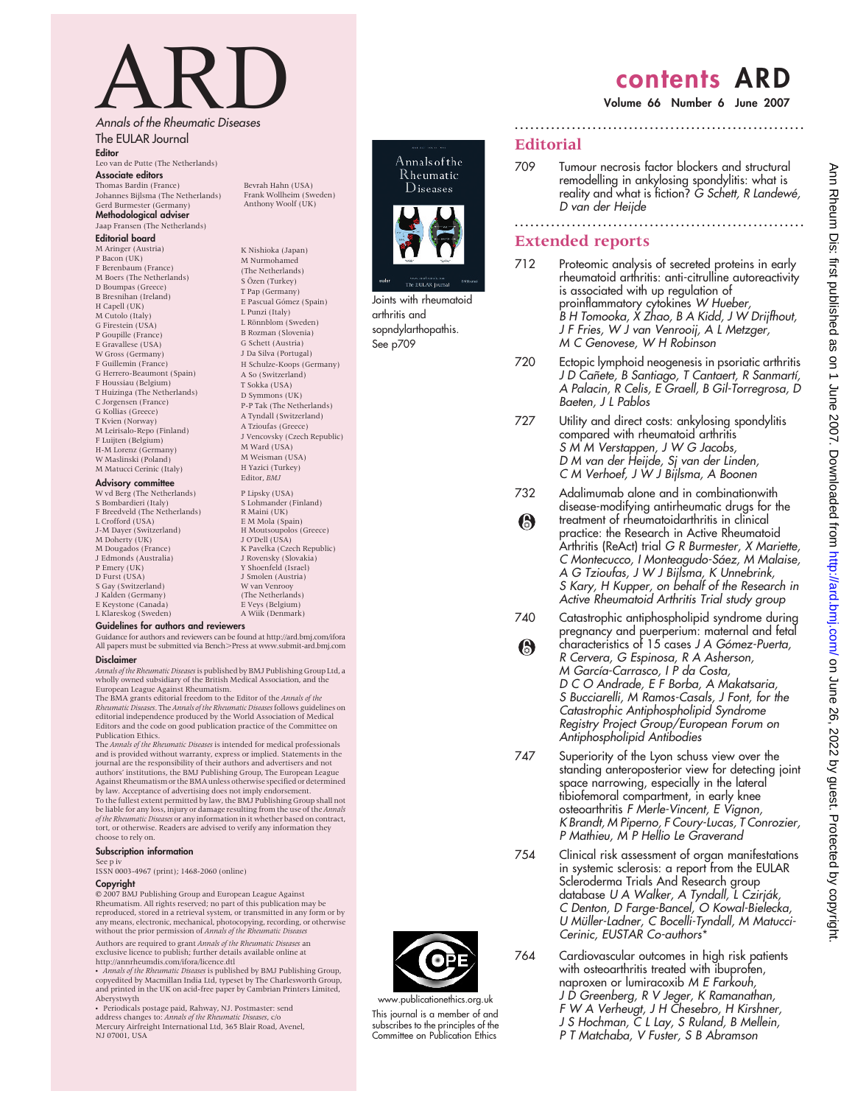# ARD<br>Annals of the Rheumatic Diseases

The EULAR Journal

Editor Leo van de Putte (The Netherlands) Associate editors Thomas Bardin (France)

Johannes Bijlsma (The Netherlands) Gerd Burmester (Germany) Methodological adviser Jaap Fransen (The Netherlands)

#### Editorial board

#### M Aringer (Austria) P Bacon (UK) F Berenbaum (France) M Boers (The Netherlands) D Boumpas (Greece) B Bresnihan (Ireland) H Capell (UK) M Cutolo (Italy) G Firestein (USA) P Goupille (France) E Gravallese (USA) W Gross (Germany) F Guillemin (France) G Herrero-Beaumont (Spain) F Houssiau (Belgium) T Huizinga (The Netherlands) C Jorgensen (France) G Kollias (Greece) T Kvien (Norway) M Leirisalo-Repo (Finland) F Luijten (Belgium) H-M Lorenz (Germany) W Maslinski (Poland) M Matucci Cerinic (Italy)

#### Advisory committee

W vd Berg (The Netherlands) S Bombardieri (Italy) F Breedveld (The Netherlands) L Crofford (USA) J-M Dayer (Switzerland) M Doherty (UK) M Dougados (France) J Edmonds (Australia) P Emery (UK) D Furst (USA) S Gay (Switzerland) J Kalden (Germany) E Keystone (Canada) L Klareskog (Sweden)

(The Netherlands)  $\overline{S}$  Özen (Turkey) T Pap (Germany) E Pascual Go´mez (Spain) L Punzi (Italy) L Rönnblom (Sweden) B Rozman (Slovenia) G Schett (Austria) J Da Silva (Portugal) H Schulze-Koops (Germany) A So (Switzerland) T Sokka (USA) D Symmons (UK) P-P Tak (The Netherlands) A Tyndall (Switzerland) A Tzioufas (Greece) J Vencovsky (Czech Republic) M Ward (USA) M Weisman (USA) H Yazici (Turkey)<br>Editor *BM* I P Lipsky (USA) S Lohmander (Finland) R Maini (UK) E M Mola (Spain) H Moutsoupolos (Greece) J O'Dell (USA) K Pavelka (Czech Republic) J Rovensky (Slovakia) Y Shoenfeld (Israel) J Smolen (Austria)

W van Venrooy (The Netherlands) E Veys (Belgium)

K Nishioka (Japan) M Nurmohamed

#### A Wiik (Denmark) Guidelines for authors and reviewers

Guidance for authors and reviewers can be found at http://ard.bmj.com/ifora All papers must be submitted via Bench.Press at www.submit-ard.bmj.com

#### Disclaimer

Annals of the Rheumatic Diseasesis published by BMJ Publishing Group Ltd, a wholly owned subsidiary of the British Medical Association, and the

European League Against Rheumatism.<br>The BMA grants editorial freedom to the Editor of the *Annals of the*<br>R*heumatic Diseases.* The *Annals of the Rheumatic Diseases f*ollows guidelines on editorial independence produced by the World Association of Medical Editors and the code on good publication practice of the Committee on Publication Ethics.

The Annals of the Rheumatic Diseases is intended for medical professionals and is provided without warranty, express or implied. Statements in the journal are the responsibility of their authors and advertisers and not authors' institutions, the BMJ Publishing Group, The European League Against Rheumatism or the BMA unless otherwise specified or determined by law. Acceptance of advertising does not imply endorsement. To the fullest extent permitted by law, the BMJ Publishing Group shall not be liable for any loss, injury or damage resulting from the use of the *Annals*<br>of the Rheumatic Diseases or any information in it whether based on contract, tort, or otherwise. Readers are advised to verify any information they choose to rely on.

#### Subscription information

See p iv

ISSN 0003-4967 (print); 1468-2060 (online)

#### Copyright

 $© 2007$  BMJ Publishing Group and European League Against Rheumatism. All rights reserved; no part of this publication may be reproduced, stored in a retrieval system, or transmitted in any form or by any means, electronic, mechanical, photocopying, recording, or otherwise<br>without the prior permission of Annals of the Rheumatic Diseases Authors are required to grant Annals of the Rheumatic Diseases an exclusive licence to publish; further details available online at http://annrheumdis.com/ifora/licence.dtl

• *Annals of the Rheumatic Diseases* is published by BMJ Publishing Group,<br>copyedited by Macmillan India Ltd, typeset by The Charlesworth Group,

and printed in the UK on acid-free paper by Cambrian Printers Limited, Aberystwyth • Periodicals postage paid, Rahway, NJ. Postmaster: send address changes to: Annals of the Rheumatic Diseases, c/o

Mercury Airfreight International Ltd, 365 Blair Road, Avenel, NJ 07001, USA

#### Bevrah Hahn (USA) Frank Wollheim (Sweden) Anthony Woolf (UK)



Annalsofthe

Joints with rheumatoid arthritis and sopndylarthopathis. See p709

# contents ARD

Volume 66 Number 6 June 2007

#### Editorial

709 Tumour necrosis factor blockers and structural remodelling in ankylosing spondylitis: what is reality and what is fiction? G Schett, R Landewé, D van der Heijde

........................................................

........................................................

### Extended reports

- 712 Proteomic analysis of secreted proteins in early rheumatoid arthritis: anti-citrulline autoreactivity is associated with up regulation of proinflammatory cytokines W Hueber, B H Tomooka, X Zhao, B A Kidd, J W Drijfhout, J F Fries, W J van Venrooij, A L Metzger, M C Genovese, W H Robinson
- 720 Ectopic lymphoid neogenesis in psoriatic arthritis J D Cañete, B Santiago, T Cantaert, R Sanmartí, A Palacin, R Celis, E Graell, B Gil-Torregrosa, D Baeten, J L Pablos
- 727 Utility and direct costs: ankylosing spondylitis compared with rheumatoid arthritis S M M Verstappen, J W G Jacobs, D M van der Heijde, Sj van der Linden, C M Verhoef, J W J Bijlsma, A Boonen
- 732 Adalimumab alone and in combinationwith disease-modifying antirheumatic drugs for the treatment of rheumatoidarthritis in clinical A practice: the Research in Active Rheumatoid Arthritis (ReAct) trial G R Burmester, X Mariette, C Montecucco, I Monteagudo-Sáez, M Malaise, A G Tzioufas, J W J Bijlsma, K Unnebrink, S Kary, H Kupper, on behalf of the Research in Active Rheumatoid Arthritis Trial study group
- 740 Catastrophic antiphospholipid syndrome during pregnancy and puerperium: maternal and fetal
- characteristics of 15 cases J A Gómez-Puerta,  $\odot$ R Cervera, G Espinosa, R A Asherson, M García-Carrasco, I P da Costa, D C O Andrade, E F Borba, A Makatsaria, S Bucciarelli, M Ramos-Casals, J Font, for the Catastrophic Antiphospholipid Syndrome Registry Project Group/European Forum on Antiphospholipid Antibodies
- 747 Superiority of the Lyon schuss view over the standing anteroposterior view for detecting joint space narrowing, especially in the lateral tibiofemoral compartment, in early knee osteoarthritis F Merle-Vincent, E Vignon, K Brandt, M Piperno, F Coury-Lucas, T Conrozier, P Mathieu, M P Hellio Le Graverand
- 754 Clinical risk assessment of organ manifestations in systemic sclerosis: a report from the EULAR Scleroderma Trials And Research group database U A Walker, A Tyndall, L Czirják, C Denton, D Farge-Bancel, O Kowal-Bielecka, U Müller-Ladner, C Bocelli-Tyndall, M Matucci-Cerinic, EUSTAR Co-authors\*
- 764 Cardiovascular outcomes in high risk patients with osteoarthritis treated with ibuprofen, naproxen or lumiracoxib M E Farkouh, J D Greenberg, R V Jeger, K Ramanathan, F W A Verheugt, J H Chesebro, H Kirshner, J S Hochman, C L Lay, S Ruland, B Mellein, P T Matchaba, V Fuster, S B Abramson



www.publicationethics.org.uk This journal is a member of and subscribes to the principles of the Committee on Publication Ethics

- 
-